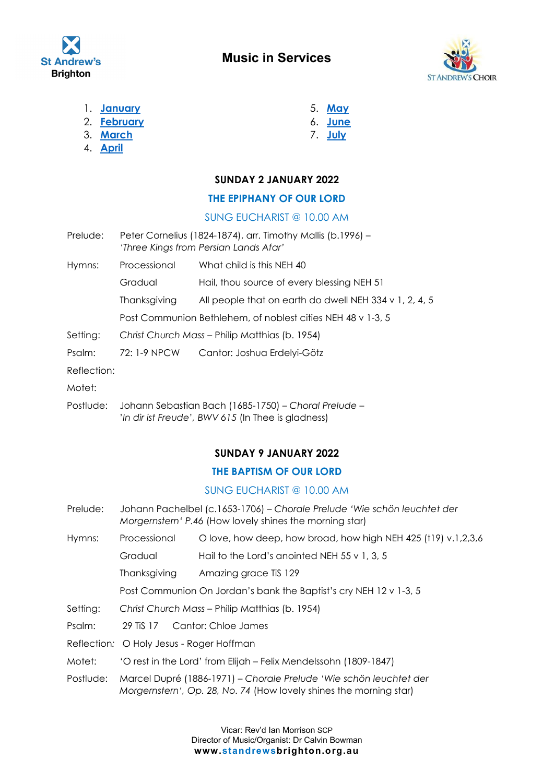



- 1. **[January](#page-0-0)**
- 2. **[February](#page-2-0)**
- 3. **[March](#page-5-0)**
- 4. **[April](#page-8-0)**
- 5. **[May](#page-13-0)**
- 6. **[June](#page--1-0)**
- 7. **[July](#page--1-1)**

## <span id="page-0-0"></span>**SUNDAY 2 JANUARY 2022**

## **THE EPIPHANY OF OUR LORD**

## SUNG EUCHARIST @ 10.00 AM

- Prelude: Peter Cornelius (1824-1874), arr. Timothy Mallis (b.1996) -*'Three Kings from Persian Lands Afar'*
- Hymns: Processional What child is this NEH 40

Gradual Hail, thou source of every blessing NEH 51

Thanksgiving All people that on earth do dwell NEH 334 v 1, 2, 4, 5

Post Communion Bethlehem, of noblest cities NEH 48 v 1-3, 5

Setting: *Christ Church Mass* – Philip Matthias (b. 1954)

Psalm: 72: 1-9 NPCW Cantor: Joshua Erdelyi-Götz

Reflection:

Motet:

Postlude: Johann Sebastian Bach (1685-1750) – *Choral Prelude –* '*In dir ist Freude*'*, BWV 615* (In Thee is gladness)

## **SUNDAY 9 JANUARY 2022**

## **THE BAPTISM OF OUR LORD**

## SUNG EUCHARIST @ 10.00 AM

- Prelude: Johann Pachelbel (c.1653-1706) *Chorale Prelude 'Wie schön leuchtet der Morgernstern' P.46* (How lovely shines the morning star)
- Hymns: Processional O love, how deep, how broad, how high NEH 425 (t19) v.1,2,3,6

Gradual Hail to the Lord's anointed NEH 55 v 1, 3, 5

Thanksgiving Amazing grace TiS 129

Post Communion On Jordan's bank the Baptist's cry NEH 12 v 1-3, 5

- Setting: *Christ Church Mass* Philip Matthias (b. 1954)
- Psalm: 29 TiS 17 Cantor: Chloe James
- Reflection*:* O Holy Jesus Roger Hoffman
- Motet: 'O rest in the Lord' from Elijah Felix Mendelssohn (1809-1847)
- Postlude: Marcel Dupré (1886-1971) *Chorale Prelude 'Wie schön leuchtet der Morgernstern', Op. 28, No. 74* (How lovely shines the morning star)

Vicar: Rev'd Ian Morrison SCP Director of Music/Organist: Dr Calvin Bowman **www.standrewsbrighton.org.au**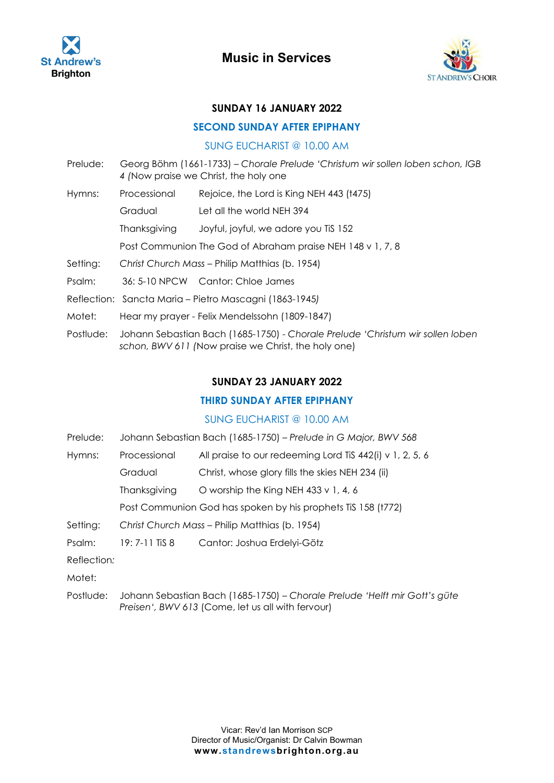



#### **SUNDAY 16 JANUARY 2022**

#### **SECOND SUNDAY AFTER EPIPHANY**

#### SUNG EUCHARIST @ 10.00 AM

- Prelude: Georg Böhm (1661-1733) *Chorale Prelude 'Christum wir sollen loben schon, IGB 4 (*Now praise we Christ, the holy one
- Hymns: Processional Rejoice, the Lord is King NEH 443 (t475) Gradual Let all the world NEH 394

Thanksgiving Joyful, joyful, we adore you TiS 152

Post Communion The God of Abraham praise NEH 148 v 1, 7, 8

- Setting: *Christ Church Mass* Philip Matthias (b. 1954)
- Psalm: 36: 5-10 NPCW Cantor: Chloe James
- Reflection: Sancta Maria Pietro Mascagni (1863-1945*)*
- Motet: Hear my prayer Felix Mendelssohn (1809-1847)
- Postlude: Johann Sebastian Bach (1685-1750) *Chorale Prelude 'Christum wir sollen loben schon, BWV 611 (*Now praise we Christ, the holy one)

#### **SUNDAY 23 JANUARY 2022**

#### **THIRD SUNDAY AFTER EPIPHANY**

#### SUNG EUCHARIST @ 10.00 AM

- Prelude: Johann Sebastian Bach (1685-1750) *Prelude in G Major, BWV 568*
- Hymns: Processional All praise to our redeeming Lord TiS 442(i) v 1, 2, 5, 6
	- Gradual Christ, whose glory fills the skies NEH 234 (ii)
		- Thanksgiving O worship the King NEH 433 v 1, 4, 6

Post Communion God has spoken by his prophets TiS 158 (t772)

Setting: *Christ Church Mass* – Philip Matthias (b. 1954)

Psalm: 19: 7-11 TiS 8 Cantor: Joshua Erdelyi-Götz

- Reflection*:*
- Motet:
- Postlude: Johann Sebastian Bach (1685-1750) *Chorale Prelude 'Helft mir Gott's güte Preisen', BWV 613* (Come, let us all with fervour)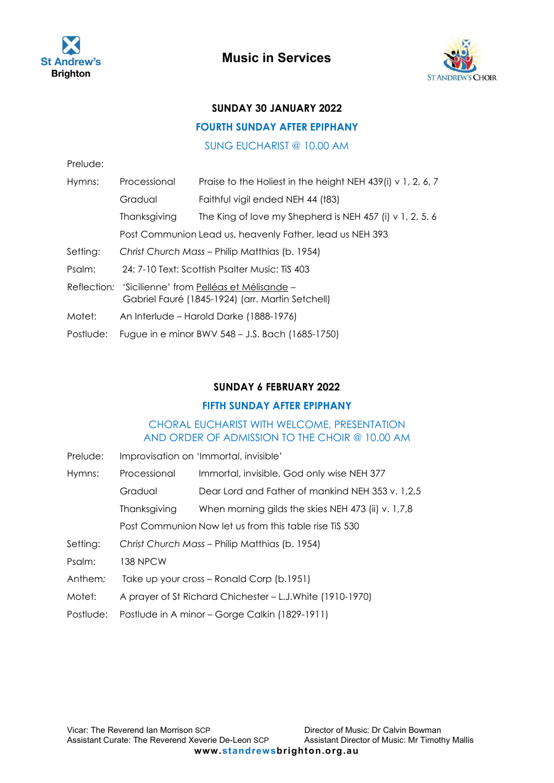



## **SUNDAY 30 JANUARY 2022**

#### **FOURTH SUNDAY AFTER EPIPHANY**

SUNG EUCHARIST @ 10.00 AM

| Prelude:  |                                                                                                          |                                                                  |
|-----------|----------------------------------------------------------------------------------------------------------|------------------------------------------------------------------|
| Hymns:    | Processional                                                                                             | Praise to the Holiest in the height NEH 439(i) $\vee$ 1, 2, 6, 7 |
|           | Gradual                                                                                                  | Faithful vigil ended NEH 44 (t83)                                |
|           | Thanksgiving                                                                                             | The King of love my Shepherd is NEH 457 (i) $\vee$ 1, 2, 5, 6    |
|           |                                                                                                          | Post Communion Lead us, heavenly Father, lead us NEH 393         |
| Setting:  | Christ Church Mass - Philip Matthias (b. 1954)                                                           |                                                                  |
| Psalm:    | 24: 7-10 Text: Scottish Psalter Music: TiS 403                                                           |                                                                  |
|           | Reflection: 'Sicilienne' from Pelléas et Mélisande -<br>Gabriel Fauré (1845-1924) (arr. Martin Setchell) |                                                                  |
| Motet:    | An Interlude - Harold Darke (1888-1976)                                                                  |                                                                  |
| Postlude: | Fugue in e minor BWV 548 - J.S. Bach (1685-1750)                                                         |                                                                  |

#### <span id="page-2-0"></span>**SUNDAY 6 FEBRUARY 2022**

#### **FIFTH SUNDAY AFTER EPIPHANY**

## CHORAL EUCHARIST WITH WELCOME, PRESENTATION AND ORDER OF ADMISSION TO THE CHOIR @ 10.00 AM

Prelude: Improvisation on 'Immortal, invisible'

| Hymns:    | Processional                                               | Immortal, invisible, God only wise NEH 377         |  |
|-----------|------------------------------------------------------------|----------------------------------------------------|--|
|           | Gradual                                                    | Dear Lord and Father of mankind NEH 353 v. 1,2,5   |  |
|           | Thanksgiving                                               | When morning gilds the skies NEH 473 (ii) v. 1,7,8 |  |
|           | Post Communion Now let us from this table rise TiS 530     |                                                    |  |
| Setting:  | Christ Church Mass - Philip Matthias (b. 1954)             |                                                    |  |
| Psalm:    | <b>138 NPCW</b>                                            |                                                    |  |
| Anthem:   | Take up your cross - Ronald Corp (b.1951)                  |                                                    |  |
| Motet:    | A prayer of St Richard Chichester – L.J. White (1910-1970) |                                                    |  |
| Postlude: | Postlude in A minor – Gorge Calkin (1829-1911)             |                                                    |  |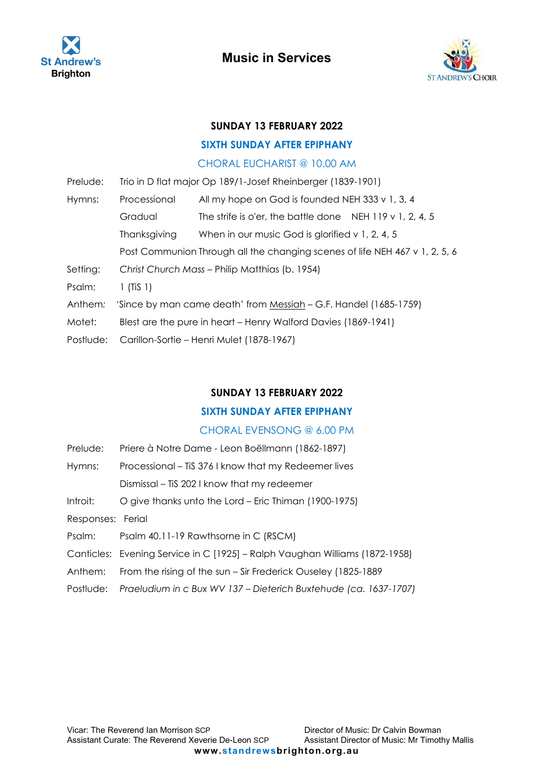



#### **SUNDAY 13 FEBRUARY 2022**

### **SIXTH SUNDAY AFTER EPIPHANY**

#### CHORAL EUCHARIST @ 10.00 AM

| Prelude:  | Trio in D flat major Op 189/1-Josef Rheinberger (1839-1901)                 |                                                          |  |
|-----------|-----------------------------------------------------------------------------|----------------------------------------------------------|--|
| Hymns:    | Processional                                                                | All my hope on God is founded NEH 333 v 1, 3, 4          |  |
|           | Gradual                                                                     | The strife is o'er, the battle done NEH 119 v 1, 2, 4, 5 |  |
|           | Thanksgiving                                                                | When in our music God is glorified $v$ 1, 2, 4, 5        |  |
|           | Post Communion Through all the changing scenes of life NEH 467 v 1, 2, 5, 6 |                                                          |  |
| Setting:  | Christ Church Mass - Philip Matthias (b. 1954)                              |                                                          |  |
| Psalm:    | $1$ (TiS $1$ )                                                              |                                                          |  |
| Anthem:   | 'Since by man came death' from Messiah – G.F. Handel (1685-1759)            |                                                          |  |
| Motet:    | Blest are the pure in heart – Henry Walford Davies (1869-1941)              |                                                          |  |
| Postlude: | Carillon-Sortie – Henri Mulet (1878-1967)                                   |                                                          |  |

## **SUNDAY 13 FEBRUARY 2022**

## **SIXTH SUNDAY AFTER EPIPHANY**

## CHORAL EVENSONG @ 6.00 PM

| Prelude:          | Priere à Notre Dame - Leon Boëllmann (1862-1897)                            |
|-------------------|-----------------------------------------------------------------------------|
| Hymns:            | Processional – Tis 376 I know that my Redeemer lives                        |
|                   | Dismissal – TiS 202 I know that my redeemer                                 |
| Introit:          | O give thanks unto the Lord – Eric Thiman (1900-1975)                       |
| Responses: Ferial |                                                                             |
| Psalm:            | Psalm 40.11-19 Rawthsorne in C (RSCM)                                       |
|                   | Canticles: Evening Service in C [1925] - Ralph Vaughan Williams (1872-1958) |
| Anthem:           | From the rising of the sun – Sir Frederick Ouseley (1825-1889)              |
| Postlude:         | Praeludium in c Bux WV 137 - Dieterich Buxtehude (ca. 1637-1707)            |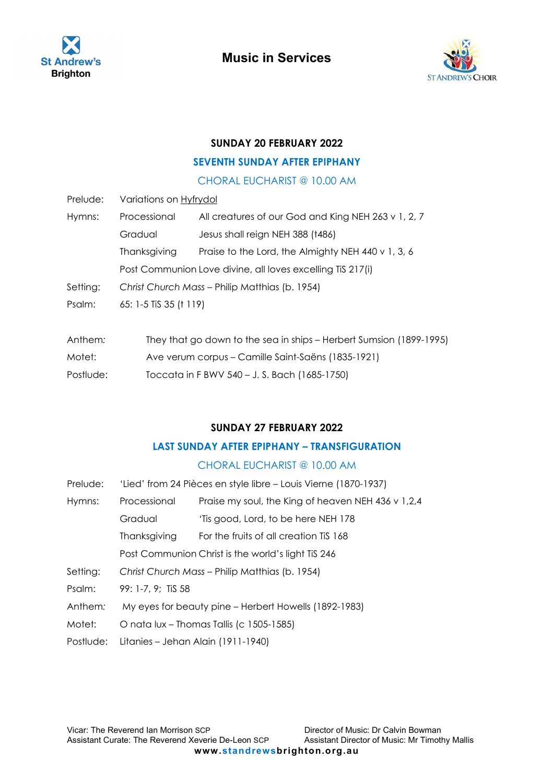



### **SUNDAY 20 FEBRUARY 2022**

### **SEVENTH SUNDAY AFTER EPIPHANY**

## CHORAL EUCHARIST @ 10.00 AM

| Prelude: | Variations on Hyfrydol                                     |                                                                     |  |
|----------|------------------------------------------------------------|---------------------------------------------------------------------|--|
| Hymns:   | Processional                                               | All creatures of our God and King NEH 263 v 1, 2, 7                 |  |
|          | Gradual                                                    | Jesus shall reign NEH 388 (t486)                                    |  |
|          | Thanksgiving                                               | Praise to the Lord, the Almighty NEH 440 v 1, 3, 6                  |  |
|          | Post Communion Love divine, all loves excelling TiS 217(i) |                                                                     |  |
| Setting: | Christ Church Mass – Philip Matthias (b. 1954)             |                                                                     |  |
| Psalm:   | 65: 1-5 TiS 35 († 119)                                     |                                                                     |  |
|          |                                                            |                                                                     |  |
| Anthem:  |                                                            | They that go down to the sea in ships – Herbert Sumsion (1899-1995) |  |
| Motet:   |                                                            | Ave verum corpus – Camille Saint-Saëns (1835-1921)                  |  |

Postlude: Toccata in F BWV 540 – J. S. Bach (1685-1750)

### **SUNDAY 27 FEBRUARY 2022**

### **LAST SUNDAY AFTER EPIPHANY – TRANSFIGURATION**

| Prelude:  | 'Lied' from 24 Pièces en style libre – Louis Vierne (1870-1937) |                                                    |
|-----------|-----------------------------------------------------------------|----------------------------------------------------|
| Hymns:    | Processional                                                    | Praise my soul, the King of heaven NEH 436 v 1,2,4 |
|           | Gradual                                                         | 'Tis good, Lord, to be here NEH 178                |
|           | Thanksgiving                                                    | For the fruits of all creation TiS 168             |
|           | Post Communion Christ is the world's light TiS 246              |                                                    |
| Setting:  | Christ Church Mass - Philip Matthias (b. 1954)                  |                                                    |
| Psalm:    | 99: 1-7, 9; TiS 58                                              |                                                    |
| Anthem:   | My eyes for beauty pine – Herbert Howells (1892-1983)           |                                                    |
| Motet:    | O nata lux - Thomas Tallis (c 1505-1585)                        |                                                    |
| Postlude: | Litanies – Jehan Alain (1911-1940)                              |                                                    |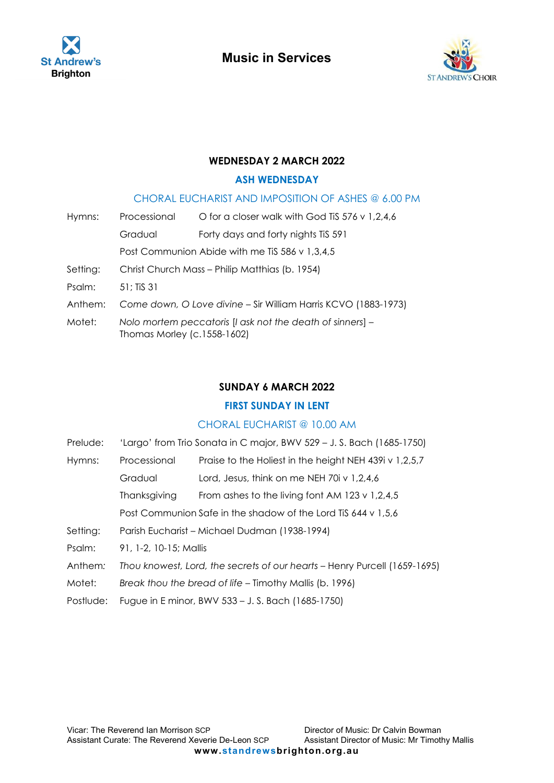



## **WEDNESDAY 2 MARCH 2022**

### <span id="page-5-0"></span>**ASH WEDNESDAY**

## CHORAL EUCHARIST AND IMPOSITION OF ASHES @ 6.00 PM

| Hymns:   | Processional                                                                             | O for a closer walk with God TiS $576 \vee 1,2,4,6$ |
|----------|------------------------------------------------------------------------------------------|-----------------------------------------------------|
|          | Gradual                                                                                  | Forty days and forty nights TiS 591                 |
|          | Post Communion Abide with me TiS 586 v 1,3,4,5                                           |                                                     |
| Setting: | Christ Church Mass - Philip Matthias (b. 1954)                                           |                                                     |
| Psalm:   | $51:$ TiS 31                                                                             |                                                     |
| Anthem:  | Come down, O Love divine - Sir William Harris KCVO (1883-1973)                           |                                                     |
| Motet:   | Nolo mortem peccatoris [I ask not the death of sinners] -<br>Thomas Morley (c.1558-1602) |                                                     |

## **SUNDAY 6 MARCH 2022**

## **FIRST SUNDAY IN LENT**

## CHORAL EUCHARIST @ 10.00 AM

| Prelude: | 'Largo' from Trio Sonata in C major, BWV 529 – J. S. Bach (1685-1750)     |                                                               |
|----------|---------------------------------------------------------------------------|---------------------------------------------------------------|
| Hymns:   | Processional                                                              | Praise to the Holiest in the height NEH 439i v 1,2,5,7        |
|          | Gradual                                                                   | Lord, Jesus, think on me NEH 70i v 1,2,4,6                    |
|          | Thanksgiving                                                              | From ashes to the living font AM 123 v 1,2,4,5                |
|          |                                                                           | Post Communion Safe in the shadow of the Lord TiS 644 v 1,5,6 |
| Setting: | Parish Eucharist - Michael Dudman (1938-1994)                             |                                                               |
| Psalm:   | 91, 1-2, 10-15; Mallis                                                    |                                                               |
| Anthem:  | Thou knowest, Lord, the secrets of our hearts - Henry Purcell (1659-1695) |                                                               |
| Motet:   | Break thou the bread of life – Timothy Mallis (b. 1996)                   |                                                               |
|          |                                                                           |                                                               |

Postlude: Fugue in E minor, BWV 533 – J. S. Bach (1685-1750)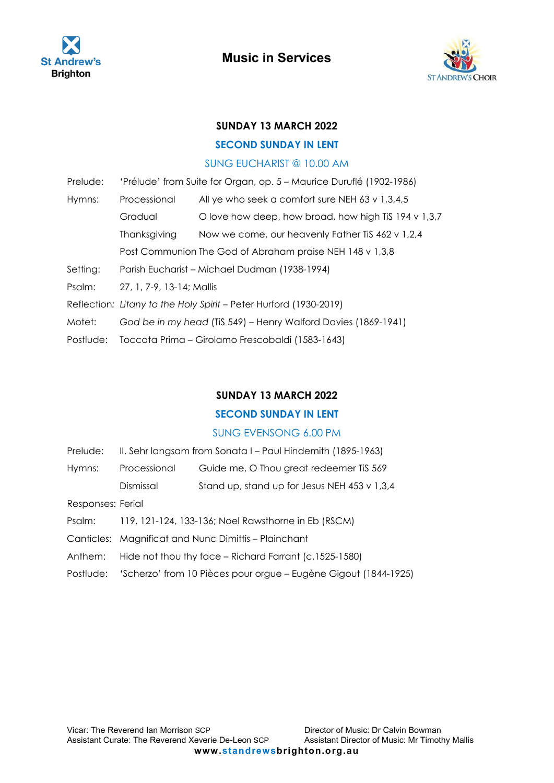



## **SUNDAY 13 MARCH 2022**

## **SECOND SUNDAY IN LENT**

#### SUNG EUCHARIST @ 10.00 AM

| Prelude:  | 'Prélude' from Suite for Organ, op. 5 - Maurice Duruflé (1902-1986) |                                                          |
|-----------|---------------------------------------------------------------------|----------------------------------------------------------|
| Hymns:    | Processional                                                        | All ye who seek a comfort sure NEH 63 v $1,3,4,5$        |
|           | Gradual                                                             | O love how deep, how broad, how high TiS 194 v $1,3,7$   |
|           | Thanksgiving                                                        | Now we come, our heavenly Father Tis 462 v 1,2,4         |
|           |                                                                     | Post Communion The God of Abraham praise NEH 148 v 1,3,8 |
| Setting:  | Parish Eucharist - Michael Dudman (1938-1994)                       |                                                          |
| Psalm:    | 27, 1, 7-9, 13-14; Mallis                                           |                                                          |
|           | Reflection: Litany to the Holy Spirit - Peter Hurford (1930-2019)   |                                                          |
| Motet:    | God be in my head (TiS 549) – Henry Walford Davies (1869-1941)      |                                                          |
| Postlude: | Toccata Prima – Girolamo Frescobaldi (1583-1643)                    |                                                          |

## **SUNDAY 13 MARCH 2022**

## **SECOND SUNDAY IN LENT**

## SUNG EVENSONG 6.00 PM

| Prelude:          | II. Sehr langsam from Sonata I – Paul Hindemith (1895-1963)               |                                              |
|-------------------|---------------------------------------------------------------------------|----------------------------------------------|
| Hymns:            | Processional                                                              | Guide me, O Thou great redeemer TiS 569      |
|                   | Dismissal                                                                 | Stand up, stand up for Jesus NEH 453 v 1,3,4 |
| Responses: Ferial |                                                                           |                                              |
| Psalm:            | 119, 121-124, 133-136; Noel Rawsthorne in Eb (RSCM)                       |                                              |
|                   | Canticles: Magnificat and Nunc Dimittis - Plainchant                      |                                              |
| Anthem:           | Hide not thou thy face – Richard Farrant (c.1525-1580)                    |                                              |
|                   | Postlude: 'Scherzo' from 10 Pièces pour orgue – Eugène Gigout (1844-1925) |                                              |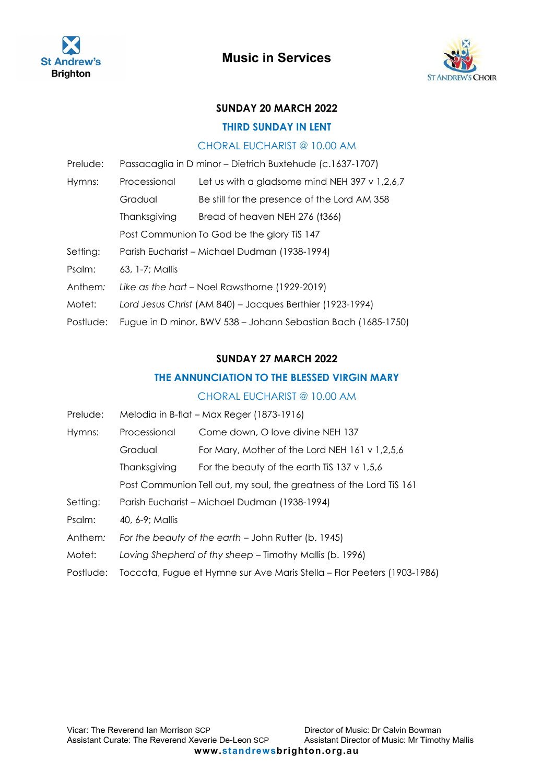



## **SUNDAY 20 MARCH 2022**

#### **THIRD SUNDAY IN LENT**

#### CHORAL EUCHARIST @ 10.00 AM

| Prelude:  | Passacaglia in D minor - Dietrich Buxtehude (c.1637-1707)     |                                                 |  |
|-----------|---------------------------------------------------------------|-------------------------------------------------|--|
| Hymns:    | Processional                                                  | Let us with a gladsome mind NEH 397 $v$ 1,2,6,7 |  |
|           | Gradual                                                       | Be still for the presence of the Lord AM 358    |  |
|           | Thanksgiving                                                  | Bread of heaven NEH 276 (t366)                  |  |
|           | Post Communion To God be the glory Tis 147                    |                                                 |  |
| Setting:  | Parish Eucharist - Michael Dudman (1938-1994)                 |                                                 |  |
| Psalm:    | $63.1 - 7$ : Mallis                                           |                                                 |  |
| Anthem:   | Like as the hart – Noel Rawsthorne (1929-2019)                |                                                 |  |
| Motet:    | Lord Jesus Christ (AM 840) - Jacques Berthier (1923-1994)     |                                                 |  |
| Postlude: | Fugue in D minor, BWV 538 - Johann Sebastian Bach (1685-1750) |                                                 |  |

#### **SUNDAY 27 MARCH 2022**

### **THE ANNUNCIATION TO THE BLESSED VIRGIN MARY**

| Prelude:  | Melodia in B-flat - Max Reger (1873-1916)                               |                                                     |  |
|-----------|-------------------------------------------------------------------------|-----------------------------------------------------|--|
| Hymns:    | Processional                                                            | Come down, O love divine NEH 137                    |  |
|           | Gradual                                                                 | For Mary, Mother of the Lord NEH $161 \vee 1,2,5,6$ |  |
|           | Thanksgiving                                                            | For the beauty of the earth TiS 137 $\vee$ 1,5,6    |  |
|           | Post Communion Tell out, my soul, the greatness of the Lord Tis 161     |                                                     |  |
| Setting:  | Parish Eucharist - Michael Dudman (1938-1994)                           |                                                     |  |
| Psalm:    | 40, 6-9; Mallis                                                         |                                                     |  |
| Anthem:   | For the beauty of the earth - John Rutter (b. 1945)                     |                                                     |  |
| Motet:    | Loving Shepherd of thy sheep – Timothy Mallis (b. 1996)                 |                                                     |  |
| Postlude: | Toccata, Fugue et Hymne sur Ave Maris Stella – Flor Peeters (1903-1986) |                                                     |  |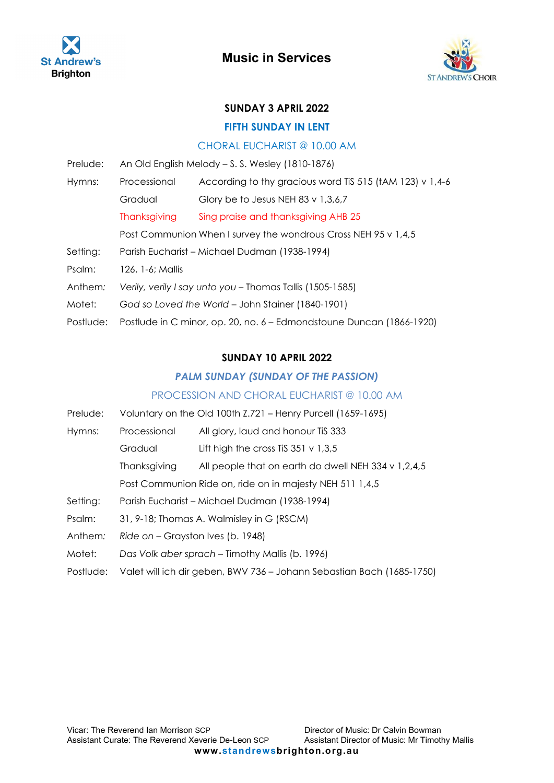



#### <span id="page-8-0"></span>**SUNDAY 3 APRIL 2022**

#### **FIFTH SUNDAY IN LENT**

#### CHORAL EUCHARIST @ 10.00 AM

| Prelude:  | An Old English Melody – S. S. Wesley (1810-1876)                     |                                                               |  |
|-----------|----------------------------------------------------------------------|---------------------------------------------------------------|--|
| Hymns:    | Processional                                                         | According to thy gracious word TiS 515 ( $tAM$ 123) $v$ 1,4-6 |  |
|           | Gradual                                                              | Glory be to Jesus NEH 83 v $1,3,6,7$                          |  |
|           | Thanksgiving                                                         | Sing praise and thanksgiving AHB 25                           |  |
|           | Post Communion When I survey the wondrous Cross NEH 95 v 1,4,5       |                                                               |  |
| Setting:  | Parish Eucharist - Michael Dudman (1938-1994)                        |                                                               |  |
| Psalm:    | 126, 1-6; Mallis                                                     |                                                               |  |
| Anthem:   | Verily, verily I say unto you - Thomas Tallis (1505-1585)            |                                                               |  |
| Motet:    | God so Loved the World - John Stainer (1840-1901)                    |                                                               |  |
| Postlude: | Postlude in C minor, op. 20, no. 6 - Edmondstoune Duncan (1866-1920) |                                                               |  |

#### **SUNDAY 10 APRIL 2022**

#### *PALM SUNDAY (SUNDAY OF THE PASSION)*

#### PROCESSION AND CHORAL EUCHARIST @ 10.00 AM

- Prelude: Voluntary on the Old 100th Z.721 Henry Purcell (1659-1695) Hymns: Processional All glory, laud and honour TiS 333 Gradual Lift high the cross TiS 351 v 1,3,5 Thanksgiving All people that on earth do dwell NEH 334 v 1,2,4,5 Post Communion Ride on, ride on in majesty NEH 511 1,4,5 Setting: Parish Eucharist – Michael Dudman (1938-1994) Psalm: 31, 9-18; Thomas A. Walmisley in G (RSCM) Anthem: Ride on - Grayston Ives (b. 1948) Motet: *Das Volk aber sprach* – Timothy Mallis (b. 1996)
- Postlude: Valet will ich dir geben, BWV 736 Johann Sebastian Bach (1685-1750)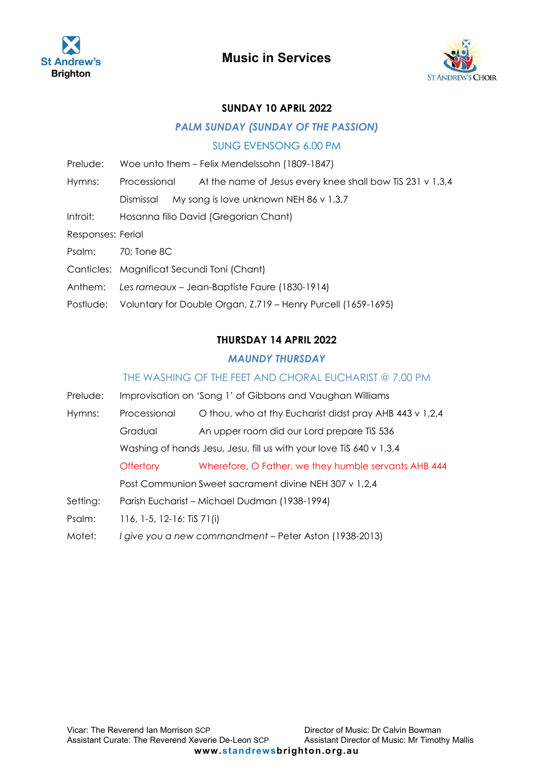



#### **SUNDAY 10 APRIL 2022**

#### *PALM SUNDAY (SUNDAY OF THE PASSION)*

#### SUNG EVENSONG 6.00 PM

- Prelude: Woe unto them Felix Mendelssohn (1809-1847)
- Hymns: Processional At the name of Jesus every knee shall bow TiS 231 v 1,3,4
	- Dismissal My song is love unknown NEH 86 v 1,3,7
- Introit: Hosanna filio David (Gregorian Chant)
- Responses: Ferial
- Psalm: 70; Tone 8C
- Canticles: Magnificat Secundi Toni (Chant)
- Anthem: *Les rameaux* Jean-Baptiste Faure (1830-1914)
- Postlude: Voluntary for Double Organ, Z.719 Henry Purcell (1659-1695)

#### **THURSDAY 14 APRIL 2022**

#### *MAUNDY THURSDAY*

#### THE WASHING OF THE FEET AND CHORAL EUCHARIST @ 7.00 PM

Prelude: Improvisation on 'Song 1' of Gibbons and Vaughan Williams Hymns: Processional O thou, who at thy Eucharist didst pray AHB 443 v 1,2,4 Gradual An upper room did our Lord prepare TiS 536 Washing of hands Jesu, Jesu, fill us with your love TiS 640 v 1,3,4 Offertory Wherefore, O Father, we they humble servants AHB 444 Post Communion Sweet sacrament divine NEH 307 v 1,2,4 Setting: Parish Eucharist – Michael Dudman (1938-1994) Psalm: 116, 1-5, 12-16: TiS 71(i) Motet: *I give you a new commandment* – Peter Aston (1938-2013)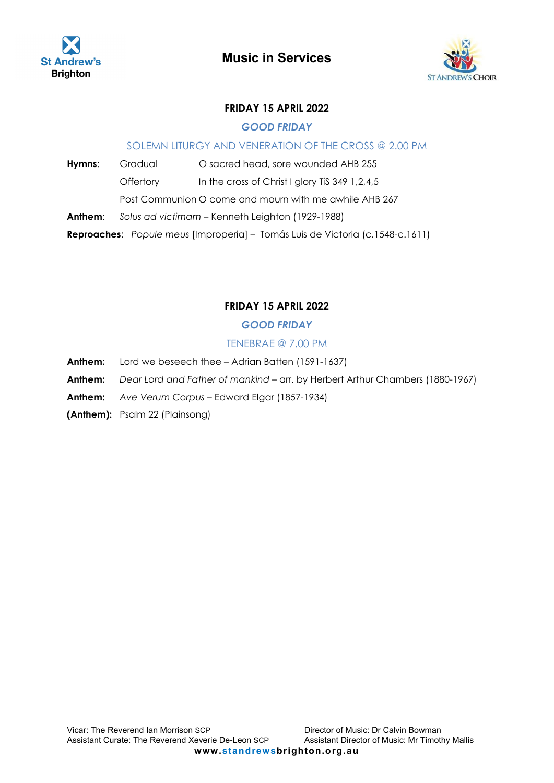



## **FRIDAY 15 APRIL 2022**

## *GOOD FRIDAY*

### SOLEMN LITURGY AND VENERATION OF THE CROSS @ 2.00 PM

**Hymns:** Gradual O sacred head, sore wounded AHB 255

Offertory In the cross of Christ I glory TiS 349 1,2,4,5

Post Communion O come and mourn with me awhile AHB 267

**Anthem**: *Solus ad victimam* – Kenneth Leighton (1929-1988)

**Reproaches**: *Popule meus* [Improperia] – Tomás Luis de Victoria (c.1548-c.1611)

## **FRIDAY 15 APRIL 2022**

## *GOOD FRIDAY*

## TENEBRAE @ 7.00 PM

- **Anthem:** Lord we beseech thee Adrian Batten (1591-1637)
- **Anthem:** *Dear Lord and Father of mankind* arr. by Herbert Arthur Chambers (1880-1967)

**Anthem:** *Ave Verum Corpus* – Edward Elgar (1857-1934)

**(Anthem):** Psalm 22 (Plainsong)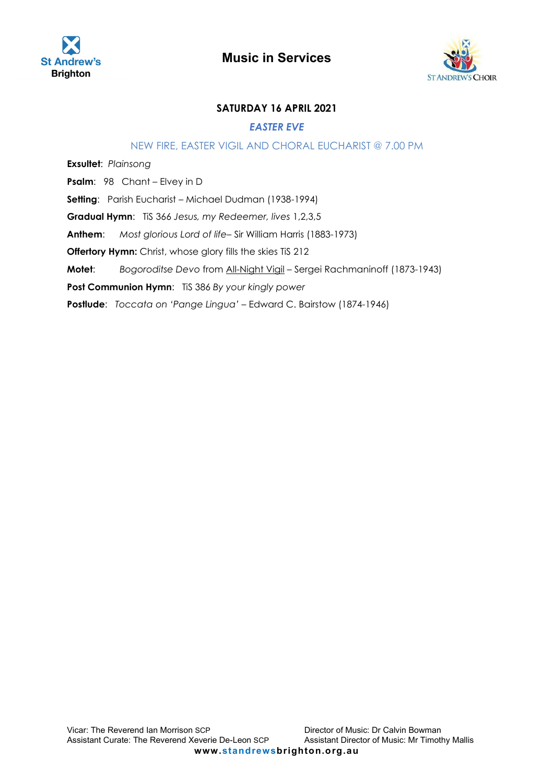



## **SATURDAY 16 APRIL 2021**

#### *EASTER EVE*

#### NEW FIRE, EASTER VIGIL AND CHORAL EUCHARIST @ 7.00 PM

**Exsultet**: *Plainsong* **Psalm**: 98 Chant – Elvey in D **Setting**: Parish Eucharist – Michael Dudman (1938-1994) **Gradual Hymn**: TiS 366 *Jesus, my Redeemer, lives* 1,2,3,5 **Anthem**: *Most glorious Lord of life*– Sir William Harris (1883-1973) **Offertory Hymn:** Christ, whose glory fills the skies TiS 212 **Motet**: *Bogoroditse Devo* from All-Night Vigil – Sergei Rachmaninoff (1873-1943) **Post Communion Hymn**: TiS 386 *By your kingly power*  **Postlude**: *Toccata on 'Pange Lingua'* – Edward C. Bairstow (1874-1946)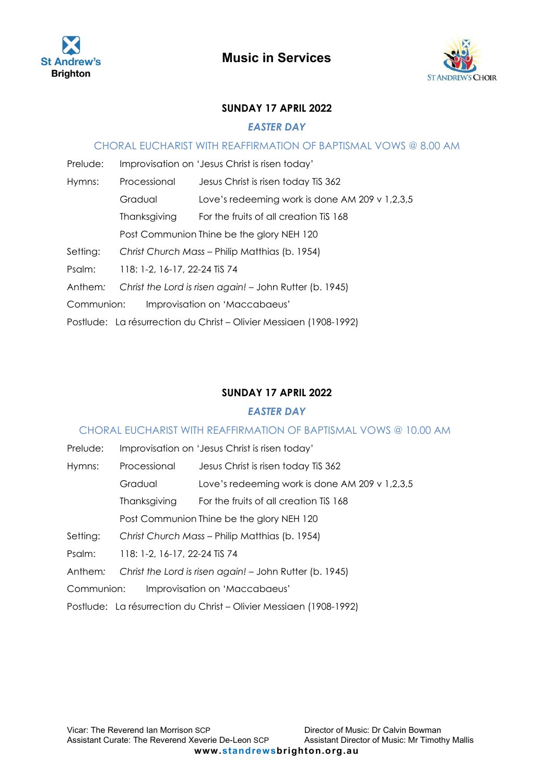



### **SUNDAY 17 APRIL 2022**

#### *EASTER DAY*

#### CHORAL EUCHARIST WITH REAFFIRMATION OF BAPTISMAL VOWS @ 8.00 AM

| Prelude:   |                                                | Improvisation on 'Jesus Christ is risen today'                     |  |
|------------|------------------------------------------------|--------------------------------------------------------------------|--|
| Hymns:     | Processional                                   | Jesus Christ is risen today TiS 362                                |  |
|            | Gradual                                        | Love's redeeming work is done AM 209 v $1,2,3,5$                   |  |
|            | Thanksgiving                                   | For the fruits of all creation TiS 168                             |  |
|            | Post Communion Thine be the glory NEH 120      |                                                                    |  |
| Setting:   | Christ Church Mass – Philip Matthias (b. 1954) |                                                                    |  |
| Psalm:     | 118: 1-2, 16-17, 22-24 TiS 74                  |                                                                    |  |
| Anthem:    |                                                | Christ the Lord is risen again! – John Rutter (b. 1945)            |  |
| Communion: |                                                | Improvisation on 'Maccabaeus'                                      |  |
|            |                                                | Postlude: La résurrection du Christ – Olivier Messiaen (1908-1992) |  |

## **SUNDAY 17 APRIL 2022**

#### *EASTER DAY*

### CHORAL EUCHARIST WITH REAFFIRMATION OF BAPTISMAL VOWS @ 10.00 AM

| Prelude:   |                                                | Improvisation on 'Jesus Christ is risen today'                     |  |
|------------|------------------------------------------------|--------------------------------------------------------------------|--|
| Hymns:     | Processional                                   | Jesus Christ is risen today TiS 362                                |  |
|            | Gradual                                        | Love's redeeming work is done AM 209 v $1,2,3,5$                   |  |
|            | Thanksgiving                                   | For the fruits of all creation TiS 168                             |  |
|            | Post Communion Thine be the glory NEH 120      |                                                                    |  |
| Setting:   | Christ Church Mass - Philip Matthias (b. 1954) |                                                                    |  |
| Psalm:     | 118: 1-2, 16-17, 22-24 TiS 74                  |                                                                    |  |
| Anthem:    |                                                | Christ the Lord is risen again! - John Rutter (b. 1945)            |  |
| Communion: |                                                | Improvisation on 'Maccabaeus'                                      |  |
|            |                                                | Postlude: La résurrection du Christ – Olivier Messiaen (1908-1992) |  |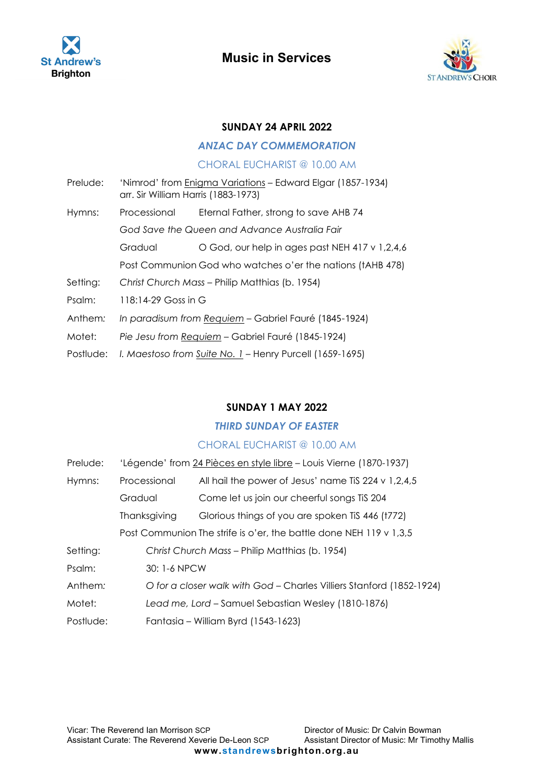



#### **SUNDAY 24 APRIL 2022**

#### *ANZAC DAY COMMEMORATION*

### CHORAL EUCHARIST @ 10.00 AM

- Prelude: 'Nimrod' from Enigma Variations Edward Elgar (1857-1934) arr. Sir William Harris (1883-1973) Hymns: Processional Eternal Father, strong to save AHB 74 *God Save the Queen and Advance Australia Fair*  Gradual O God, our help in ages past NEH 417 v 1,2,4,6 Post Communion God who watches o'er the nations (tAHB 478) Setting: *Christ Church Mass* – Philip Matthias (b. 1954) Psalm: 118:14-29 Goss in G Anthem*: In paradisum from Requiem* – Gabriel Fauré (1845-1924) Motet: *Pie Jesu from Requiem* – Gabriel Fauré (1845-1924)
- Postlude: *I. Maestoso from Suite No. 1* Henry Purcell (1659-1695)

### <span id="page-13-0"></span>**SUNDAY 1 MAY 2022**

#### *THIRD SUNDAY OF EASTER*

| Prelude:  |                                                                    | 'Légende' from 24 Pièces en style libre - Louis Vierne (1870-1937)   |  |  |
|-----------|--------------------------------------------------------------------|----------------------------------------------------------------------|--|--|
| Hymns:    | Processional                                                       | All hail the power of Jesus' name TiS 224 v $1,2,4,5$                |  |  |
|           | Gradual                                                            | Come let us join our cheerful songs TiS 204                          |  |  |
|           | Thanksgiving                                                       | Glorious things of you are spoken TiS 446 (t772)                     |  |  |
|           | Post Communion The strife is o'er, the battle done NEH 119 v 1,3,5 |                                                                      |  |  |
| Setting:  |                                                                    | Christ Church Mass - Philip Matthias (b. 1954)                       |  |  |
| Psalm:    |                                                                    | 30: 1-6 NPCW                                                         |  |  |
| Anthem:   |                                                                    | O for a closer walk with God - Charles Villiers Stanford (1852-1924) |  |  |
| Motet:    |                                                                    | Lead me, Lord - Samuel Sebastian Wesley (1810-1876)                  |  |  |
| Postlude: | Fantasia – William Byrd (1543-1623)                                |                                                                      |  |  |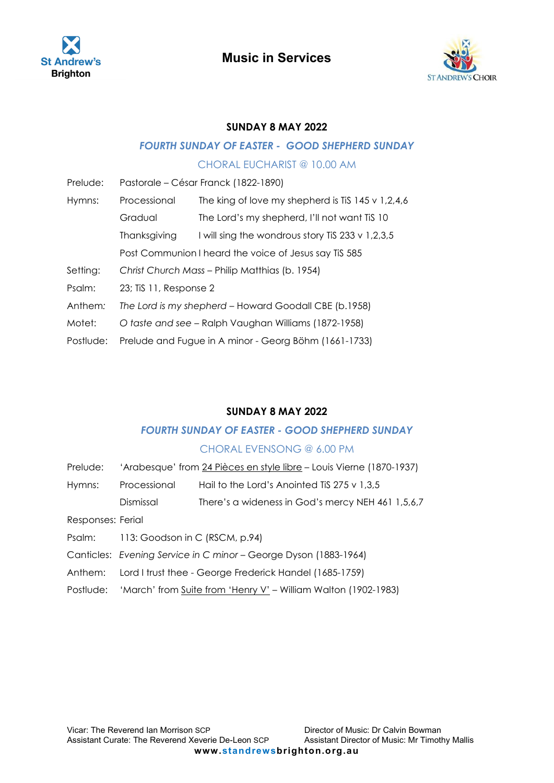



## **SUNDAY 8 MAY 2022**

# *FOURTH SUNDAY OF EASTER - GOOD SHEPHERD SUNDAY*

## CHORAL EUCHARIST @ 10.00 AM

| Prelude:  | Pastorale – César Franck (1822-1890)                  |                                                   |  |
|-----------|-------------------------------------------------------|---------------------------------------------------|--|
| Hymns:    | Processional                                          | The king of love my shepherd is TiS 145 v 1,2,4,6 |  |
|           | Gradual                                               | The Lord's my shepherd, I'll not want TiS 10      |  |
|           | Thanksgiving                                          | I will sing the wondrous story TiS 233 v 1,2,3,5  |  |
|           | Post Communion I heard the voice of Jesus say Tis 585 |                                                   |  |
| Setting:  | Christ Church Mass - Philip Matthias (b. 1954)        |                                                   |  |
| Psalm:    | 23; TiS 11, Response 2                                |                                                   |  |
| Anthem:   | The Lord is my shepherd - Howard Goodall CBE (b.1958) |                                                   |  |
| Motet:    | O taste and see - Ralph Vaughan Williams (1872-1958)  |                                                   |  |
| Postlude: | Prelude and Fugue in A minor - Georg Böhm (1661-1733) |                                                   |  |

## **SUNDAY 8 MAY 2022**

## *FOURTH SUNDAY OF EASTER - GOOD SHEPHERD SUNDAY*

## CHORAL EVENSONG @ 6.00 PM

| Prelude: | 'Arabesque' from 24 Pièces en style libre - Louis Vierne (1870-1937) |  |  |
|----------|----------------------------------------------------------------------|--|--|
|          |                                                                      |  |  |

| Hymns: | Processional | Hail to the Lord's Anointed TiS $275 \vee 1,3,5$ |
|--------|--------------|--------------------------------------------------|
|        |              |                                                  |

Dismissal There's a wideness in God's mercy NEH 461 1,5,6,7

Responses: Ferial

- Psalm: 113: Goodson in C (RSCM, p.94)
- Canticles: *Evening Service in C minor* George Dyson (1883-1964)
- Anthem: Lord I trust thee George Frederick Handel (1685-1759)
- Postlude: 'March' from Suite from 'Henry V' William Walton (1902-1983)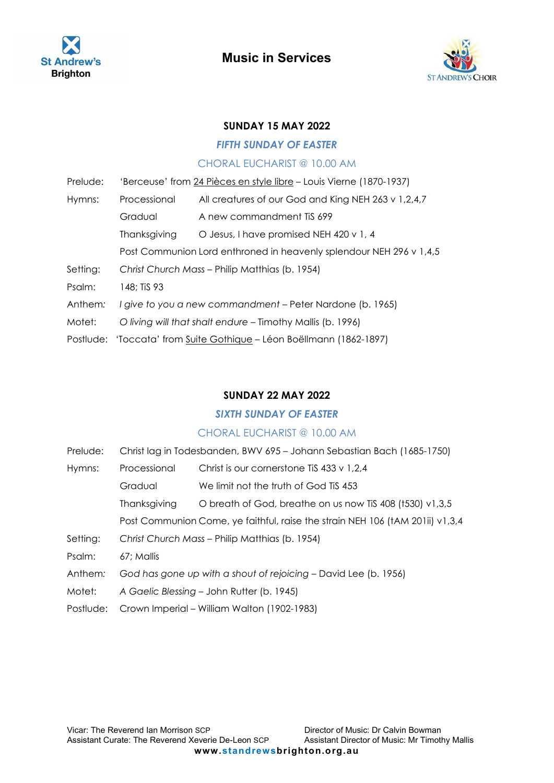



### **SUNDAY 15 MAY 2022**

#### *FIFTH SUNDAY OF EASTER*

#### CHORAL EUCHARIST @ 10.00 AM

| Prelude: | 'Berceuse' from 24 Pièces en style libre - Louis Vierne (1870-1937)  |                                                            |  |
|----------|----------------------------------------------------------------------|------------------------------------------------------------|--|
| Hymns:   | Processional                                                         | All creatures of our God and King NEH 263 v 1,2,4,7        |  |
|          | Gradual                                                              | A new commandment Tis 699                                  |  |
|          | Thanksgiving                                                         | O Jesus, I have promised NEH 420 v 1, 4                    |  |
|          | Post Communion Lord enthroned in heavenly splendour NEH 296 v 1,4,5  |                                                            |  |
| Setting: | Christ Church Mass - Philip Matthias (b. 1954)                       |                                                            |  |
| Psalm:   | 148; TiS 93                                                          |                                                            |  |
| Anthem:  |                                                                      | I give to you a new commandment – Peter Nardone (b. 1965)  |  |
| Motet:   |                                                                      | O living will that shalt endure – Timothy Mallis (b. 1996) |  |
|          | Postlude: 'Toccata' from Suite Gothique - Léon Boëllmann (1862-1897) |                                                            |  |

## **SUNDAY 22 MAY 2022**

## *SIXTH SUNDAY OF EASTER*

| Prelude:  | Christ lag in Todesbanden, BWV 695 - Johann Sebastian Bach (1685-1750)        |                                                          |  |
|-----------|-------------------------------------------------------------------------------|----------------------------------------------------------|--|
| Hymns:    | Processional                                                                  | Christ is our cornerstone TiS 433 $\vee$ 1,2,4           |  |
|           | Gradual                                                                       | We limit not the truth of God Tis 453                    |  |
|           | Thanksgiving                                                                  | O breath of God, breathe on us now Tis 408 (t530) v1,3,5 |  |
|           | Post Communion Come, ye faithful, raise the strain NEH 106 (tAM 201ii) v1,3,4 |                                                          |  |
| Setting:  | Christ Church Mass - Philip Matthias (b. 1954)                                |                                                          |  |
| Psalm:    | 67: Mallis                                                                    |                                                          |  |
| Anthem:   | God has gone up with a shout of rejoicing – David Lee (b. 1956)               |                                                          |  |
| Motet:    | A Gaelic Blessing - John Rutter (b. 1945)                                     |                                                          |  |
| Postlude: | Crown Imperial – William Walton (1902-1983)                                   |                                                          |  |